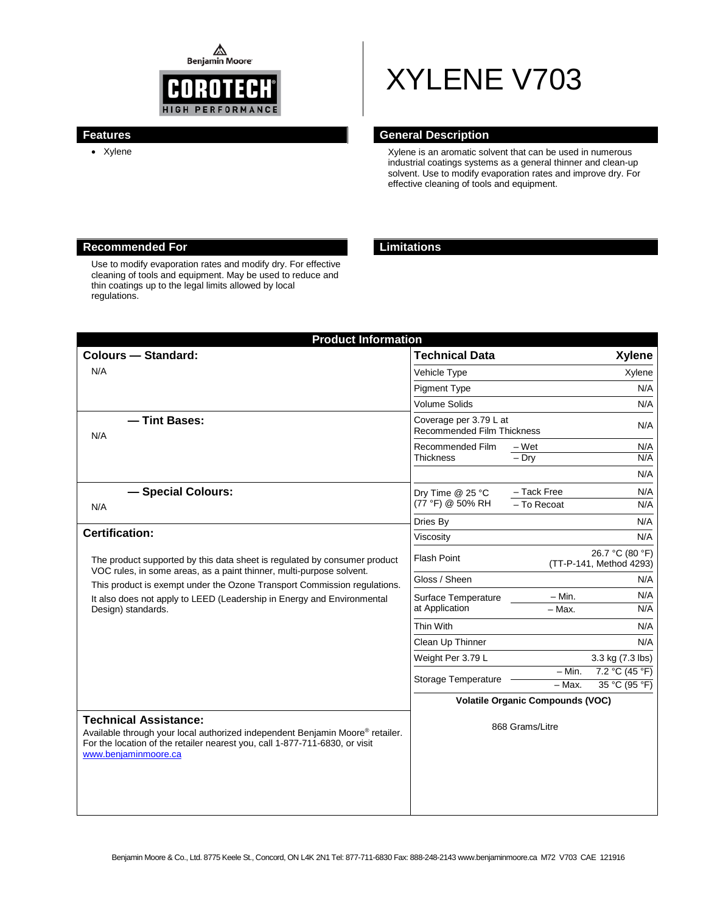◬ **Benjamin Moore** 



# XYLENE V703

### **Features General Description**

• Xylene Xylene is an aromatic solvent that can be used in numerous industrial coatings systems as a general thinner and clean-up solvent. Use to modify evaporation rates and improve dry. For effective cleaning of tools and equipment.

# **Recommended For Limitations**

Use to modify evaporation rates and modify dry. For effective cleaning of tools and equipment. May be used to reduce and thin coatings up to the legal limits allowed by local regulations.

| <b>Product Information</b>                                                                                                                                                                                                                                                                                                                             |                                                             |                            |                                            |
|--------------------------------------------------------------------------------------------------------------------------------------------------------------------------------------------------------------------------------------------------------------------------------------------------------------------------------------------------------|-------------------------------------------------------------|----------------------------|--------------------------------------------|
| <b>Colours - Standard:</b>                                                                                                                                                                                                                                                                                                                             | <b>Technical Data</b>                                       |                            | <b>Xylene</b>                              |
| N/A                                                                                                                                                                                                                                                                                                                                                    | Vehicle Type                                                |                            | Xylene                                     |
|                                                                                                                                                                                                                                                                                                                                                        | <b>Pigment Type</b>                                         |                            | N/A                                        |
|                                                                                                                                                                                                                                                                                                                                                        | <b>Volume Solids</b>                                        |                            | N/A                                        |
| - Tint Bases:<br>N/A                                                                                                                                                                                                                                                                                                                                   | Coverage per 3.79 L at<br><b>Recommended Film Thickness</b> |                            | N/A                                        |
|                                                                                                                                                                                                                                                                                                                                                        | Recommended Film<br>Thickness                               | – Wet<br>$-$ Dry           | N/A<br>N/A                                 |
|                                                                                                                                                                                                                                                                                                                                                        |                                                             |                            | N/A                                        |
| - Special Colours:<br>N/A                                                                                                                                                                                                                                                                                                                              | Dry Time @ 25 °C<br>(77 °F) @ 50% RH                        | - Tack Free<br>- To Recoat | N/A<br>N/A                                 |
|                                                                                                                                                                                                                                                                                                                                                        | Dries By                                                    |                            | N/A                                        |
| <b>Certification:</b><br>The product supported by this data sheet is regulated by consumer product<br>VOC rules, in some areas, as a paint thinner, multi-purpose solvent.<br>This product is exempt under the Ozone Transport Commission regulations.<br>It also does not apply to LEED (Leadership in Energy and Environmental<br>Design) standards. | Viscosity                                                   |                            | N/A                                        |
|                                                                                                                                                                                                                                                                                                                                                        | <b>Flash Point</b>                                          |                            | 26.7 °C (80 °F)<br>(TT-P-141, Method 4293) |
|                                                                                                                                                                                                                                                                                                                                                        | Gloss / Sheen                                               |                            | N/A                                        |
|                                                                                                                                                                                                                                                                                                                                                        | Surface Temperature<br>at Application                       | $- Min.$                   | N/A                                        |
|                                                                                                                                                                                                                                                                                                                                                        |                                                             | $-$ Max.                   | N/A                                        |
|                                                                                                                                                                                                                                                                                                                                                        | Thin With                                                   |                            | N/A                                        |
|                                                                                                                                                                                                                                                                                                                                                        | Clean Up Thinner                                            |                            | N/A                                        |
|                                                                                                                                                                                                                                                                                                                                                        | Weight Per 3.79 L                                           |                            | 3.3 kg (7.3 lbs)                           |
|                                                                                                                                                                                                                                                                                                                                                        | Storage Temperature                                         | $- Min.$                   | 7.2 °C (45 °F)                             |
|                                                                                                                                                                                                                                                                                                                                                        |                                                             | $-$ Max.                   | 35 °C (95 °F)                              |
|                                                                                                                                                                                                                                                                                                                                                        | <b>Volatile Organic Compounds (VOC)</b>                     |                            |                                            |
| <b>Technical Assistance:</b><br>Available through your local authorized independent Benjamin Moore® retailer.<br>For the location of the retailer nearest you, call 1-877-711-6830, or visit<br>www.benjaminmoore.ca                                                                                                                                   | 868 Grams/Litre                                             |                            |                                            |
|                                                                                                                                                                                                                                                                                                                                                        |                                                             |                            |                                            |